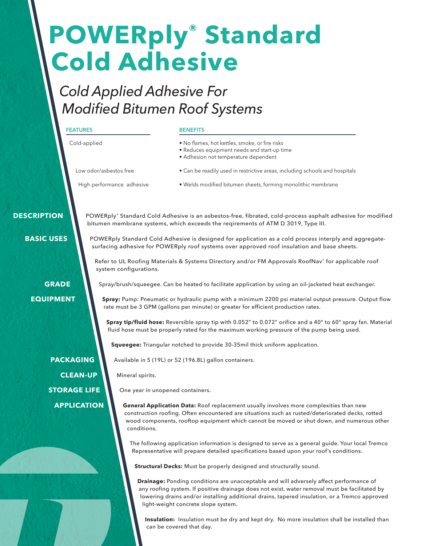# **POWERply® Standard Cold Adhesive**

**BENEFITS**

## *Cold Applied Adhesive For Modified Bitumen Roof Systems*

|                    | FEAIURES                            | DENEFIIJ                                                                                                                                                                                                                                                                                                      |
|--------------------|-------------------------------------|---------------------------------------------------------------------------------------------------------------------------------------------------------------------------------------------------------------------------------------------------------------------------------------------------------------|
|                    | Cold-applied                        | . No flames, hot kettles, smoke, or fire risks<br>· Reduces equipment needs and start-up time<br>• Adhesion not temperature dependent                                                                                                                                                                         |
|                    | Low odor/asbestos free              | • Can be readily used in restrictive areas, including schools and hospitals                                                                                                                                                                                                                                   |
|                    | High performance adhesive           | · Welds modified bitumen sheets, forming monolithic membrane                                                                                                                                                                                                                                                  |
| <b>DESCRIPTION</b> |                                     | POWERply® Standard Cold Adhesive is an asbestos-free, fibrated, cold-process asphalt adhesive for modified<br>bitumen membrane systems, which exceeds the reqirements of ATM D 3019, Type III.                                                                                                                |
| <b>BASIC USES</b>  |                                     | POWERply Standard Cold Adhesive is designed for application as a cold process interply and aggregate-<br>surfacing adhesive for POWERply roof systems over approved roof insulation and base sheets.                                                                                                          |
|                    | system configurations.              | Refer to UL Roofing Materials & Systems Directory and/or FM Approvals RoofNav® for applicable roof                                                                                                                                                                                                            |
| <b>GRADE</b>       |                                     | Spray/brush/squeegee. Can be heated to facilitate application by using an oil-jacketed heat exchanger.                                                                                                                                                                                                        |
| <b>EQUIPMENT</b>   |                                     | Spray: Pump: Pneumatic or hydraulic pump with a minimum 2200 psi material output pressure. Output flow<br>rate must be 3 GPM (gallons per minute) or greater for efficient production rates.<br>Spray tip/fluid hose: Reversible spray tip with 0.052" to 0.072" orifice and a 40° to 60° spray fan. Material |
|                    |                                     | fluid hose must be properly rated for the maximum working pressure of the pump being used.                                                                                                                                                                                                                    |
|                    |                                     | Squeegee: Triangular notched to provide 30-35mil thick uniform application.                                                                                                                                                                                                                                   |
|                    | <b>PACKAGING</b>                    | Available in 5 (19L) or 52 (196.8L) gallon containers.                                                                                                                                                                                                                                                        |
|                    | <b>CLEAN-UP</b><br>Mineral spirits. |                                                                                                                                                                                                                                                                                                               |
|                    | <b>STORAGE LIFE</b>                 | One year in unopened containers.                                                                                                                                                                                                                                                                              |
|                    | <b>APPLICATION</b><br>conditions.   | General Application Data: Roof replacement usually involves more complexities than new<br>construction roofing. Often encountered are situations such as rusted/deteriorated decks, rotted<br>wood components, rooftop equipment which cannot be moved or shut down, and numerous other                       |
|                    |                                     | The following application information is designed to serve as a general guide. Your local Tremco<br>Representative will prepare detailed specifications based upon your roof's conditions.                                                                                                                    |

**Structural Decks:** Must be properly designed and structurally sound.

**Drainage:** Ponding conditions are unacceptable and will adversely affect performance of any roofing system. If positive drainage does not exist, water removal must be facilitated by lowering drains and/or installing additional drains, tapered insulation, or a Tremco approved light-weight concrete slope system.

**Insulation:** Insulation must be dry and kept dry. No more insulation shall be installed than can be covered that day.

**FEATURES**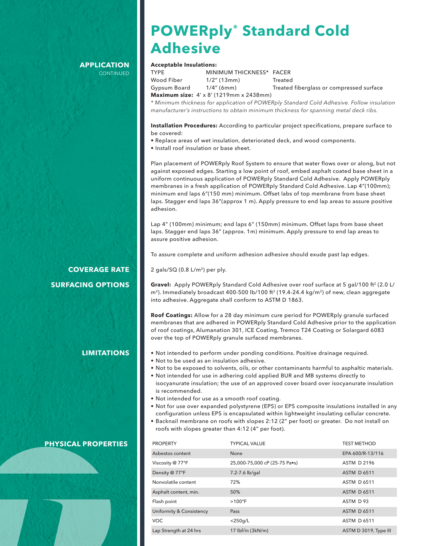### **APPLICATION CONTINUED**

# **POWERply® Standard Cold Adhesive**

### **Acceptable Insulations:**

| <b>TYPF</b>  | MINIMUM THICKNESS* FACER                              |                                          |
|--------------|-------------------------------------------------------|------------------------------------------|
| Wood Fiber   | $1/2$ " (13mm)                                        | Treated                                  |
| Gypsum Board | $1/4$ " (6mm)                                         | Treated fiberglass or compressed surface |
|              | Maximum size: $4' \times 8'$ (1219mm $\times$ 2438mm) |                                          |

*\* Minimum thickness for application of POWERply Standard Cold Adhesive. Follow insulation manufacturer's instructions to obtain minimum thickness for spanning metal deck ribs.*

**Installation Procedures:** According to particular project specifications, prepare surface to be covered:

- Replace areas of wet insulation, deteriorated deck, and wood components.
- Install roof insulation or base sheet.

Plan placement of POWERply Roof System to ensure that water flows over or along, but not against exposed edges. Starting a low point of roof, embed asphalt coated base sheet in a uniform continuous application of POWERply Standard Cold Adhesive. Apply POWERply membranes in a fresh application of POWERply Standard Cold Adhesive. Lap 4"(100mm); minimum end laps 6"(150 mm) minimum. Offset labs of top membrane from base sheet laps. Stagger end laps 36"(approx 1 m). Apply pressure to end lap areas to assure positive adhesion.

Lap 4" (100mm) minimum; end laps 6" (150mm) minimum. Offset laps from base sheet laps. Stagger end laps 36" (approx. 1m) minimum. Apply pressure to end lap areas to assure positive adhesion.

To assure complete and uniform adhesion adhesive should exude past lap edges.

2 gals/ $SO(0.8 L/m^2)$  per ply.

Gravel: Apply POWERply Standard Cold Adhesive over roof surface at 5 gal/100 ft<sup>2</sup> (2.0 L/ m<sup>2</sup>). Immediately broadcast 400-500 lb/100 ft<sup>2</sup> (19.4-24.4 kg/m<sup>2</sup>) of new, clean aggregate into adhesive. Aggregate shall conform to ASTM D 1863.

**Roof Coatings:** Allow for a 28 day minimum cure period for POWERply granule surfaced membranes that are adhered in POWERply Standard Cold Adhesive prior to the application of roof coatings, Alumanation 301, ICE Coating, Tremco T24 Coating or Solargard 6083 over the top of POWERply granule surfaced membranes.

- Not intended to perform under ponding conditions. Positive drainage required.
- Not to be used as an insulation adhesive.
- Not to be exposed to solvents, oils, or other contaminants harmful to asphaltic materials.
- Not intended for use in adhering cold applied BUR and MB systems directly to isocyanurate insulation; the use of an approved cover board over isocyanurate insulation is recommended.
- Not intended for use as a smooth roof coating.
- Not for use over expanded polystyrene (EPS) or EPS composite insulations installed in any configuration unless EPS is encapsulated within lightweight insulating cellular concrete.
- Backnail membrane on roofs with slopes 2:12 (2" per foot) or greater. Do not install on roofs with slopes greater than 4:12 (4" per foot).

| <b>PROPERTY</b>          | <b>TYPICAL VALUE</b>          | <b>TEST METHOD</b>    |
|--------------------------|-------------------------------|-----------------------|
| Asbestos content         | None                          | EPA 600/R-13/116      |
| Viscosity @ 77°F         | 25,000-75,000 cP (25-75 Pa•s) | <b>ASTM D 2196</b>    |
| Density @ 77°F           | 7.2-7.6 lb/gal                | <b>ASTM D 6511</b>    |
| Nonvolatile content      | 72%                           | <b>ASTM D 6511</b>    |
| Asphalt content, min.    | 50%                           | <b>ASTM D 6511</b>    |
| Flash point              | $>100^{\circ}$ F              | ASTM D93              |
| Uniformity & Consistency | Pass                          | <b>ASTM D 6511</b>    |
| <b>VOC</b>               | $<$ 250g/L                    | <b>ASTM D 6511</b>    |
| Lap Strength at 24 hrs   | $17$ lbf/in $(3kN/m)$         | ASTM D 3019, Type III |

## **COVERAGE RATE SURFACING OPTIONS**

## **LIMITATIONS**

 **PHYSICAL PROPERTIES**